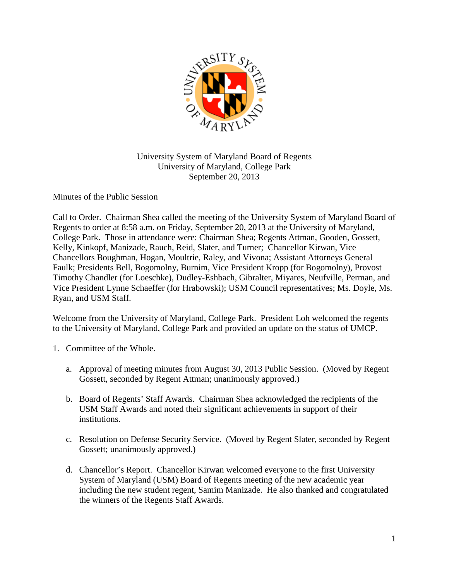

University System of Maryland Board of Regents University of Maryland, College Park September 20, 2013

Minutes of the Public Session

Call to Order. Chairman Shea called the meeting of the University System of Maryland Board of Regents to order at 8:58 a.m. on Friday, September 20, 2013 at the University of Maryland, College Park. Those in attendance were: Chairman Shea; Regents Attman, Gooden, Gossett, Kelly, Kinkopf, Manizade, Rauch, Reid, Slater, and Turner; Chancellor Kirwan, Vice Chancellors Boughman, Hogan, Moultrie, Raley, and Vivona; Assistant Attorneys General Faulk; Presidents Bell, Bogomolny, Burnim, Vice President Kropp (for Bogomolny), Provost Timothy Chandler (for Loeschke), Dudley-Eshbach, Gibralter, Miyares, Neufville, Perman, and Vice President Lynne Schaeffer (for Hrabowski); USM Council representatives; Ms. Doyle, Ms. Ryan, and USM Staff.

Welcome from the University of Maryland, College Park. President Loh welcomed the regents to the University of Maryland, College Park and provided an update on the status of UMCP.

- 1. Committee of the Whole.
	- a. Approval of meeting minutes from August 30, 2013 Public Session. (Moved by Regent Gossett, seconded by Regent Attman; unanimously approved.)
	- b. Board of Regents' Staff Awards. Chairman Shea acknowledged the recipients of the USM Staff Awards and noted their significant achievements in support of their institutions.
	- c. Resolution on Defense Security Service. (Moved by Regent Slater, seconded by Regent Gossett; unanimously approved.)
	- d. Chancellor's Report. Chancellor Kirwan welcomed everyone to the first University System of Maryland (USM) Board of Regents meeting of the new academic year including the new student regent, Samim Manizade. He also thanked and congratulated the winners of the Regents Staff Awards.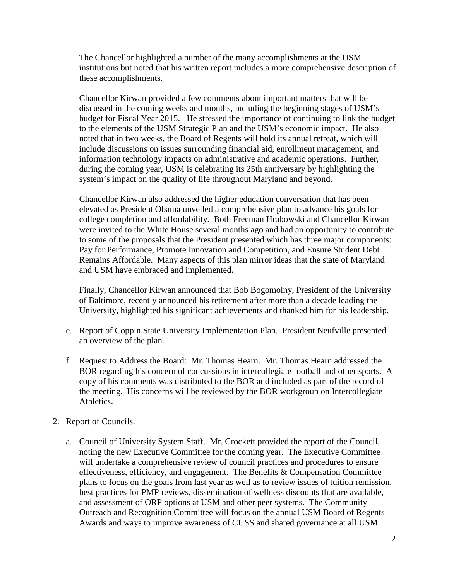The Chancellor highlighted a number of the many accomplishments at the USM institutions but noted that his written report includes a more comprehensive description of these accomplishments.

Chancellor Kirwan provided a few comments about important matters that will be discussed in the coming weeks and months, including the beginning stages of USM's budget for Fiscal Year 2015. He stressed the importance of continuing to link the budget to the elements of the USM Strategic Plan and the USM's economic impact. He also noted that in two weeks, the Board of Regents will hold its annual retreat, which will include discussions on issues surrounding financial aid, enrollment management, and information technology impacts on administrative and academic operations. Further, during the coming year, USM is celebrating its 25th anniversary by highlighting the system's impact on the quality of life throughout Maryland and beyond.

Chancellor Kirwan also addressed the higher education conversation that has been elevated as President Obama unveiled a comprehensive plan to advance his goals for college completion and affordability. Both Freeman Hrabowski and Chancellor Kirwan were invited to the White House several months ago and had an opportunity to contribute to some of the proposals that the President presented which has three major components: Pay for Performance, Promote Innovation and Competition, and Ensure Student Debt Remains Affordable. Many aspects of this plan mirror ideas that the state of Maryland and USM have embraced and implemented.

Finally, Chancellor Kirwan announced that Bob Bogomolny, President of the University of Baltimore, recently announced his retirement after more than a decade leading the University, highlighted his significant achievements and thanked him for his leadership.

- e. Report of Coppin State University Implementation Plan. President Neufville presented an overview of the plan.
- f. Request to Address the Board: Mr. Thomas Hearn. Mr. Thomas Hearn addressed the BOR regarding his concern of concussions in intercollegiate football and other sports. A copy of his comments was distributed to the BOR and included as part of the record of the meeting. His concerns will be reviewed by the BOR workgroup on Intercollegiate Athletics.
- 2. Report of Councils.
	- a. Council of University System Staff. Mr. Crockett provided the report of the Council, noting the new Executive Committee for the coming year. The Executive Committee will undertake a comprehensive review of council practices and procedures to ensure effectiveness, efficiency, and engagement. The Benefits & Compensation Committee plans to focus on the goals from last year as well as to review issues of tuition remission, best practices for PMP reviews, dissemination of wellness discounts that are available, and assessment of ORP options at USM and other peer systems. The Community Outreach and Recognition Committee will focus on the annual USM Board of Regents Awards and ways to improve awareness of CUSS and shared governance at all USM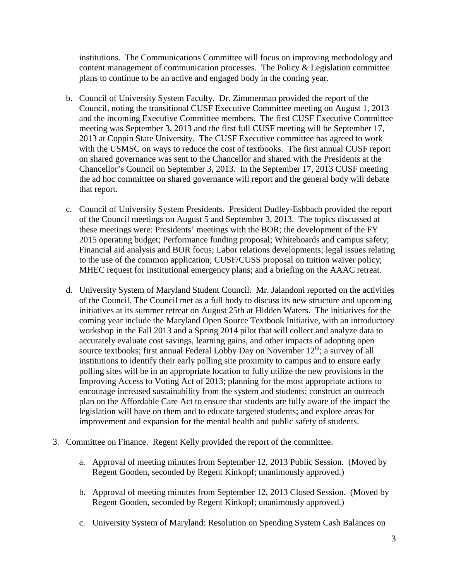institutions. The Communications Committee will focus on improving methodology and content management of communication processes. The Policy & Legislation committee plans to continue to be an active and engaged body in the coming year.

- b. Council of University System Faculty. Dr. Zimmerman provided the report of the Council, noting the transitional CUSF Executive Committee meeting on August 1, 2013 and the incoming Executive Committee members. The first CUSF Executive Committee meeting was September 3, 2013 and the first full CUSF meeting will be September 17, 2013 at Coppin State University. The CUSF Executive committee has agreed to work with the USMSC on ways to reduce the cost of textbooks. The first annual CUSF report on shared governance was sent to the Chancellor and shared with the Presidents at the Chancellor's Council on September 3, 2013. In the September 17, 2013 CUSF meeting the ad hoc committee on shared governance will report and the general body will debate that report.
- c. Council of University System Presidents. President Dudley-Eshbach provided the report of the Council meetings on August 5 and September 3, 2013. The topics discussed at these meetings were: Presidents' meetings with the BOR; the development of the FY 2015 operating budget; Performance funding proposal; Whiteboards and campus safety; Financial aid analysis and BOR focus; Labor relations developments; legal issues relating to the use of the common application; CUSF/CUSS proposal on tuition waiver policy; MHEC request for institutional emergency plans; and a briefing on the AAAC retreat.
- d. University System of Maryland Student Council. Mr. Jalandoni reported on the activities of the Council. The Council met as a full body to discuss its new structure and upcoming initiatives at its summer retreat on August 25th at Hidden Waters. The initiatives for the coming year include the Maryland Open Source Textbook Initiative, with an introductory workshop in the Fall 2013 and a Spring 2014 pilot that will collect and analyze data to accurately evaluate cost savings, learning gains, and other impacts of adopting open source textbooks; first annual Federal Lobby Day on November  $12^{th}$ ; a survey of all institutions to identify their early polling site proximity to campus and to ensure early polling sites will be in an appropriate location to fully utilize the new provisions in the Improving Access to Voting Act of 2013; planning for the most appropriate actions to encourage increased sustainability from the system and students; construct an outreach plan on the Affordable Care Act to ensure that students are fully aware of the impact the legislation will have on them and to educate targeted students; and explore areas for improvement and expansion for the mental health and public safety of students.
- 3. Committee on Finance. Regent Kelly provided the report of the committee.
	- a. Approval of meeting minutes from September 12, 2013 Public Session. (Moved by Regent Gooden, seconded by Regent Kinkopf; unanimously approved.)
	- b. Approval of meeting minutes from September 12, 2013 Closed Session. (Moved by Regent Gooden, seconded by Regent Kinkopf; unanimously approved.)
	- c. University System of Maryland: Resolution on Spending System Cash Balances on